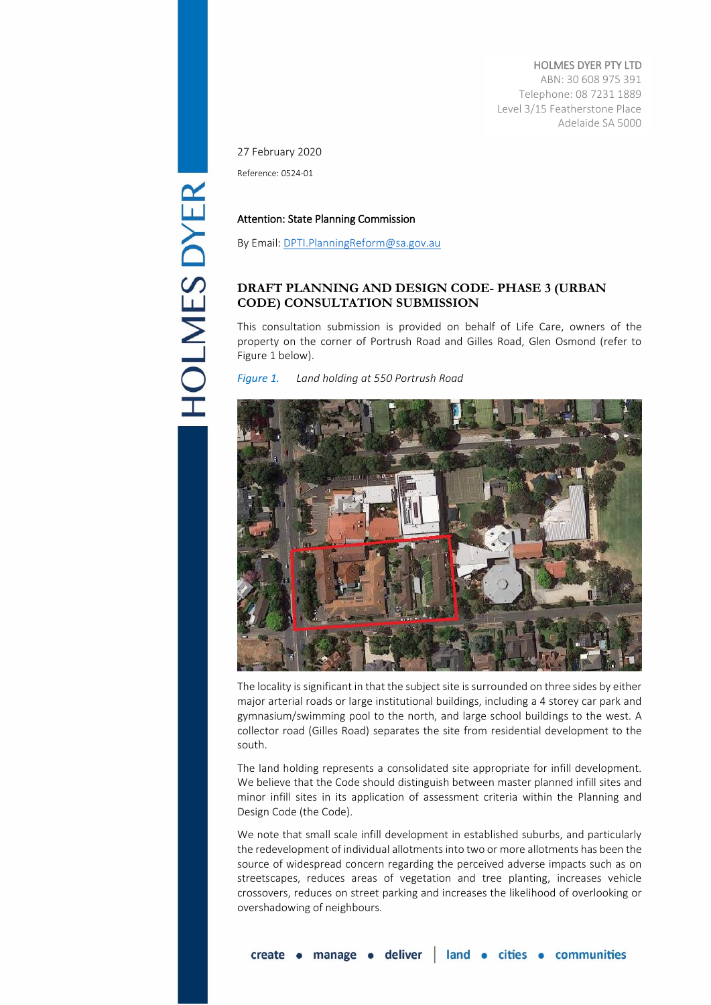HOLMES DYER PTY LTD ABN: 30 608 975 391 Telephone: 08 7231 1889 Level 3/15 Featherstone Place Adelaide SA 5000

27 February 2020

Reference: 0524-01

# Attention: State Planning Commission

By Email[: DPTI.PlanningReform@sa.gov.au](mailto:DPTI.PlanningReform@sa.gov.au)

# **DRAFT PLANNING AND DESIGN CODE- PHASE 3 (URBAN CODE) CONSULTATION SUBMISSION**

This consultation submission is provided on behalf of Life Care, owners of the property on the corner of Portrush Road and Gilles Road, Glen Osmond (refer to Figure 1 below).

*Figure 1. Land holding at 550 Portrush Road*



The locality is significant in that the subject site is surrounded on three sides by either major arterial roads or large institutional buildings, including a 4 storey car park and gymnasium/swimming pool to the north, and large school buildings to the west. A collector road (Gilles Road) separates the site from residential development to the south.

The land holding represents a consolidated site appropriate for infill development. We believe that the Code should distinguish between master planned infill sites and minor infill sites in its application of assessment criteria within the Planning and Design Code (the Code).

We note that small scale infill development in established suburbs, and particularly the redevelopment of individual allotments into two or more allotments has been the source of widespread concern regarding the perceived adverse impacts such as on streetscapes, reduces areas of vegetation and tree planting, increases vehicle crossovers, reduces on street parking and increases the likelihood of overlooking or overshadowing of neighbours.

**HOLMES DYER**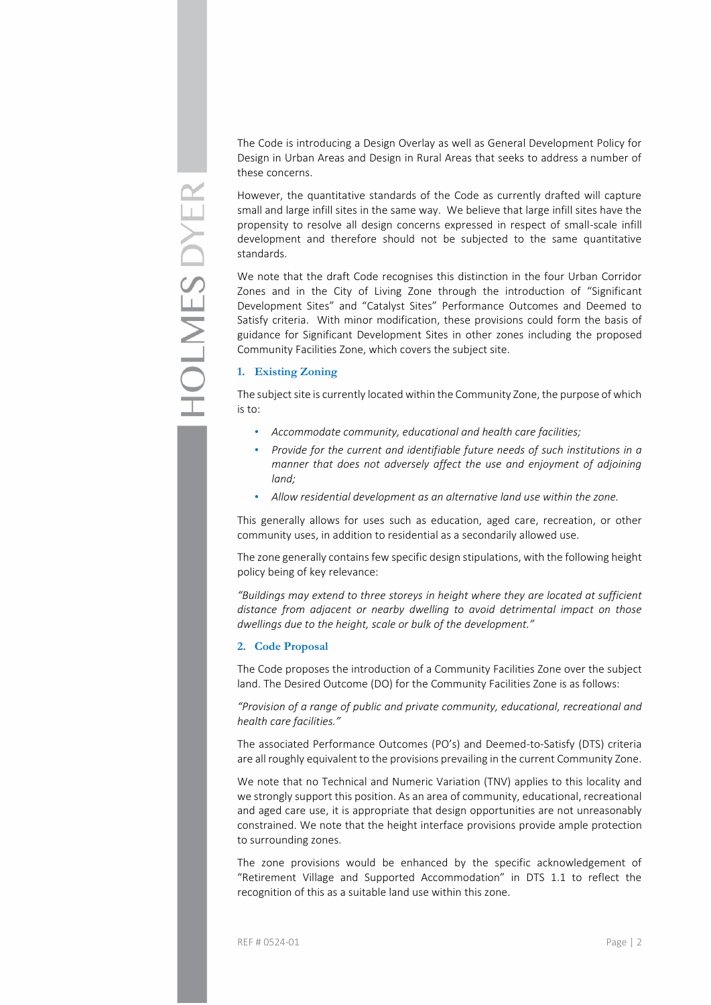The Code is introducing a Design Overlay as well as General Development Policy for Design in Urban Areas and Design in Rural Areas that seeks to address a number of these concerns.

However, the quantitative standards of the Code as currently drafted will capture small and large infill sites in the same way. We believe that large infill sites have the propensity to resolve all design concerns expressed in respect of small-scale infill development and therefore should not be subjected to the same quantitative standards.

We note that the draft Code recognises this distinction in the four Urban Corridor Zones and in the City of Living Zone through the introduction of "Significant Development Sites" and "Catalyst Sites" Performance Outcomes and Deemed to Satisfy criteria. With minor modification, these provisions could form the basis of guidance for Significant Development Sites in other zones including the proposed Community Facilities Zone, which covers the subject site.

# **1. Existing Zoning**

The subject site is currently located within the Community Zone, the purpose of which is to:

- *Accommodate community, educational and health care facilities;*
- *Provide for the current and identifiable future needs of such institutions in a manner that does not adversely affect the use and enjoyment of adjoining land;*
- *Allow residential development as an alternative land use within the zone.*

This generally allows for uses such as education, aged care, recreation, or other community uses, in addition to residential as a secondarily allowed use.

The zone generally contains few specific design stipulations, with the following height policy being of key relevance:

*"Buildings may extend to three storeys in height where they are located at sufficient distance from adjacent or nearby dwelling to avoid detrimental impact on those dwellings due to the height, scale or bulk of the development."*

### **2. Code Proposal**

The Code proposes the introduction of a Community Facilities Zone over the subject land. The Desired Outcome (DO) for the Community Facilities Zone is as follows:

*"Provision of a range of public and private community, educational, recreational and health care facilities."*

The associated Performance Outcomes (PO's) and Deemed-to-Satisfy (DTS) criteria are all roughly equivalent to the provisions prevailing in the current Community Zone.

We note that no Technical and Numeric Variation (TNV) applies to this locality and we strongly support this position. As an area of community, educational, recreational and aged care use, it is appropriate that design opportunities are not unreasonably constrained. We note that the height interface provisions provide ample protection to surrounding zones.

The zone provisions would be enhanced by the specific acknowledgement of "Retirement Village and Supported Accommodation" in DTS 1.1 to reflect the recognition of this as a suitable land use within this zone.

REF # 0524-01 Page | 2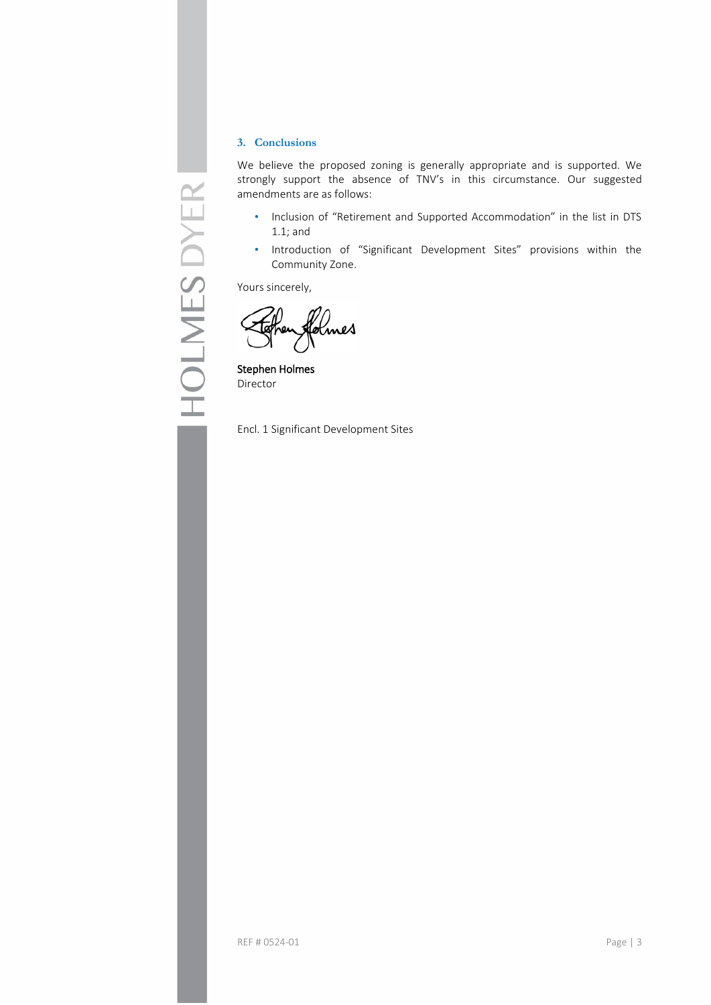# **3. Conclusions**

We believe the proposed zoning is generally appropriate and is supported. We strongly support the absence of TNV's in this circumstance. Our suggested amendments are as follows:

- Inclusion of "Retirement and Supported Accommodation" in the list in DTS 1.1; and
- Introduction of "Significant Development Sites" provisions within the Community Zone.

Yours sincerely,

olmes

Stephen Holmes Director

Encl. 1 Significant Development Sites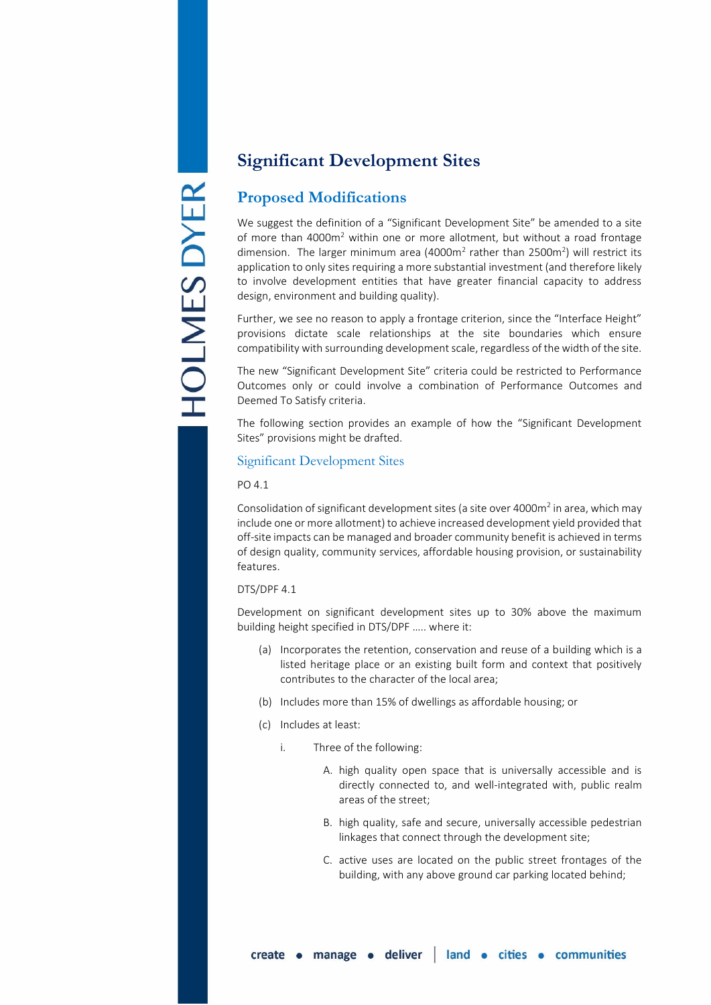# **Significant Development Sites**

# **Proposed Modifications**

We suggest the definition of a "Significant Development Site" be amended to a site of more than  $4000m^2$  within one or more allotment, but without a road frontage dimension. The larger minimum area (4000m<sup>2</sup> rather than 2500m<sup>2</sup>) will restrict its application to only sites requiring a more substantial investment (and therefore likely to involve development entities that have greater financial capacity to address design, environment and building quality).

Further, we see no reason to apply a frontage criterion, since the "Interface Height" provisions dictate scale relationships at the site boundaries which ensure compatibility with surrounding development scale, regardless of the width of the site.

The new "Significant Development Site" criteria could be restricted to Performance Outcomes only or could involve a combination of Performance Outcomes and Deemed To Satisfy criteria.

The following section provides an example of how the "Significant Development Sites" provisions might be drafted.

# Significant Development Sites

# PO 4.1

Consolidation of significant development sites (a site over 4000 $m<sup>2</sup>$  in area, which may include one or more allotment) to achieve increased development yield provided that off-site impacts can be managed and broader community benefit is achieved in terms of design quality, community services, affordable housing provision, or sustainability features.

# DTS/DPF 4.1

Development on significant development sites up to 30% above the maximum building height specified in DTS/DPF ….. where it:

- (a) Incorporates the retention, conservation and reuse of a building which is a listed heritage place or an existing built form and context that positively contributes to the character of the local area;
- (b) Includes more than 15% of dwellings as affordable housing; or
- (c) Includes at least:
	- i. Three of the following:
		- A. high quality open space that is universally accessible and is directly connected to, and well-integrated with, public realm areas of the street;
		- B. high quality, safe and secure, universally accessible pedestrian linkages that connect through the development site;
		- C. active uses are located on the public street frontages of the building, with any above ground car parking located behind;